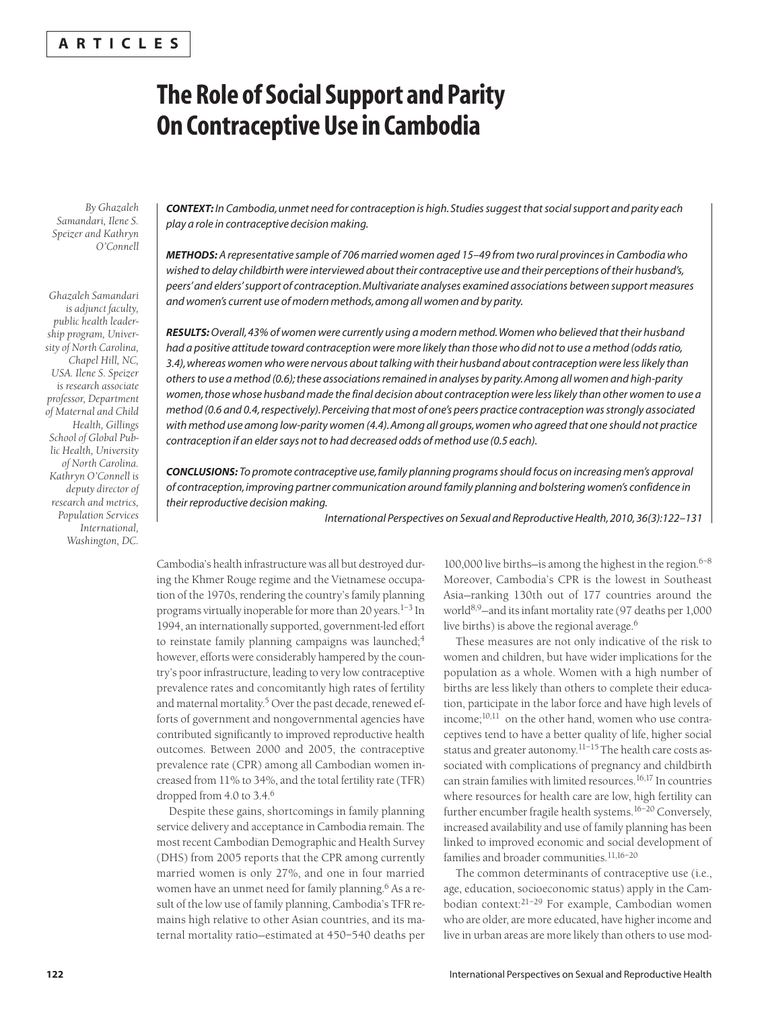# **A R T I C L E S**

# **The Role of Social Support and Parity On Contraceptive Use in Cambodia**

*By Ghazaleh Samandari, Ilene S. Speizer and Kathryn O'Connell*

*Ghazaleh Samandari is adjunct faculty, public health leadership program, University of North Carolina, Chapel Hill, NC, USA. Ilene S. Speizer is research associate professor, Department of Maternal and Child Health, Gillings School of Global Public Health, University of North Carolina. Kathryn O'Connell is deputy director of research and metrics, Population Services International, Washington, DC.*

*CONTEXT: In Cambodia, unmet need for contraception is high. Studies suggest that social support and parity each play a role in contraceptive decision making.*

*METHODS: A representative sample of 706 married women aged 15–49 from two rural provinces in Cambodia who wished to delay childbirth were interviewed about their contraceptive use and their perceptions of their husband's, peers' and elders' support of contraception. Multivariate analyses examined associations between support measures and women's current use of modern methods, among all women and by parity.*

*RESULTS:Overall, 43% of women were currently using a modern method. Women who believed that their husband had a positive attitude toward contraception were more likely than those who did not to use a method (odds ratio, 3.4), whereas women who were nervous about talking with their husband about contraception were less likely than others to use a method (0.6); these associations remained in analyses by parity. Among all women and high-parity women, those whose husband made the final decision about contraception were less likely than other women to use a method (0.6 and 0.4, respectively). Perceiving that most of one's peers practice contraception was strongly associated with method use among low-parity women (4.4). Among all groups, women who agreed that one should not practice contraception if an elder says not to had decreased odds of method use (0.5 each).*

*CONCLUSIONS: To promote contraceptive use, family planning programs should focus on increasing men's approval of contraception, improving partner communication around family planning and bolstering women's confidence in their reproductive decision making.*

*International Perspectives on Sexual and Reproductive Health, 2010, 36(3):122–131*

Cambodia's health infrastructure was all but destroyed during the Khmer Rouge regime and the Vietnamese occupation of the 1970s, rendering the country's family planning programs virtually inoperable for more than 20 years. $1-3$  In 1994, an internationally supported, government-led effort to reinstate family planning campaigns was launched;<sup>4</sup> however, efforts were considerably hampered by the country's poor infrastructure, leading to very low contraceptive prevalence rates and concomitantly high rates of fertility and maternal mortality.<sup>5</sup> Over the past decade, renewed efforts of government and nongovernmental agencies have contributed significantly to improved reproductive health outcomes. Between 2000 and 2005, the contraceptive prevalence rate (CPR) among all Cambodian women increased from 11% to 34%, and the total fertility rate (TFR) dropped from 4.0 to 3.4.<sup>6</sup>

Despite these gains, shortcomings in family planning service delivery and acceptance in Cambodia remain. The most recent Cambodian Demographic and Health Survey (DHS) from 2005 reports that the CPR among currently married women is only 27%, and one in four married women have an unmet need for family planning.<sup>6</sup> As a result of the low use of family planning, Cambodia's TFR remains high relative to other Asian countries, and its maternal mortality ratio—estimated at 450–540 deaths per

100,000 live births—is among the highest in the region. $6-8$ Moreover, Cambodia's CPR is the lowest in Southeast Asia—ranking 130th out of 177 countries around the world8,9—and its infant mortality rate (97 deaths per 1,000 live births) is above the regional average.<sup>6</sup>

These measures are not only indicative of the risk to women and children, but have wider implications for the population as a whole. Women with a high number of births are less likely than others to complete their education, participate in the labor force and have high levels of income;<sup>10,11</sup> on the other hand, women who use contraceptives tend to have a better quality of life, higher social status and greater autonomy.<sup>11-15</sup> The health care costs associated with complications of pregnancy and childbirth can strain families with limited resources.<sup>16,17</sup> In countries where resources for health care are low, high fertility can further encumber fragile health systems.<sup>16-20</sup> Conversely, increased availability and use of family planning has been linked to improved economic and social development of families and broader communities.11,16–20

The common determinants of contraceptive use (i.e., age, education, socioeconomic status) apply in the Cambodian context:<sup>21-29</sup> For example, Cambodian women who are older, are more educated, have higher income and live in urban areas are more likely than others to use mod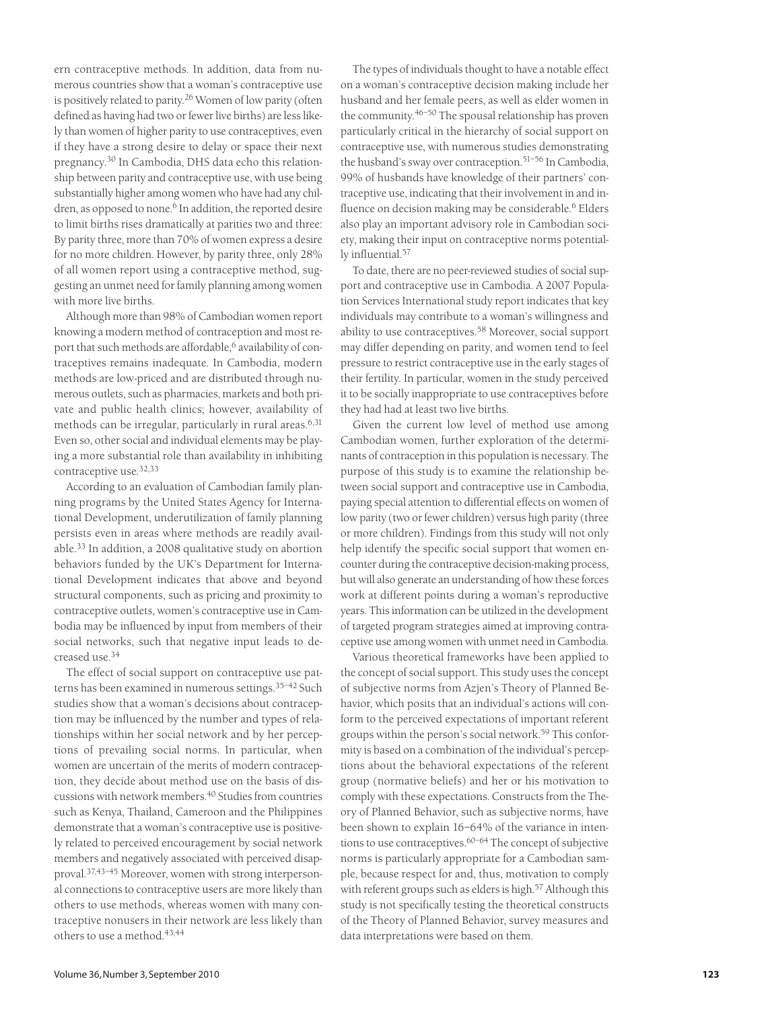ern contraceptive methods. In addition, data from numerous countries show that a woman's contraceptive use is positively related to parity.<sup>26</sup> Women of low parity (often defined as having had two or fewer live births) are less likely than women of higher parity to use contraceptives, even if they have a strong desire to delay or space their next pregnancy.<sup>30</sup> In Cambodia, DHS data echo this relationship between parity and contraceptive use, with use being substantially higher among women who have had any children, as opposed to none.<sup>6</sup> In addition, the reported desire to limit births rises dramatically at parities two and three: By parity three, more than 70% of women express a desire for no more children. However, by parity three, only 28% of all women report using a contraceptive method, suggesting an unmet need for family planning among women with more live births.

Although more than 98% of Cambodian women report knowing a modern method of contraception and most report that such methods are affordable,<sup>6</sup> availability of contraceptives remains inadequate. In Cambodia, modern methods are low-priced and are distributed through numerous outlets, such as pharmacies, markets and both private and public health clinics; however, availability of methods can be irregular, particularly in rural areas.6,31 Even so, other social and individual elements may be playing a more substantial role than availability in inhibiting contraceptive use.32,33

According to an evaluation of Cambodian family planning programs by the United States Agency for International Development, underutilization of family planning persists even in areas where methods are readily available.<sup>33</sup> In addition, a 2008 qualitative study on abortion behaviors funded by the UK's Department for International Development indicates that above and beyond structural components, such as pricing and proximity to contraceptive outlets, women's contraceptive use in Cambodia may be influenced by input from members of their social networks, such that negative input leads to decreased use.<sup>34</sup>

The effect of social support on contraceptive use patterns has been examined in numerous settings.<sup>35-42</sup> Such studies show that a woman's decisions about contraception may be influenced by the number and types of relationships within her social network and by her perceptions of prevailing social norms. In particular, when women are uncertain of the merits of modern contraception, they decide about method use on the basis of discussions with network members.40 Studies from countries such as Kenya, Thailand, Cameroon and the Philippines demonstrate that a woman's contraceptive use is positively related to perceived encouragement by social network members and negatively associated with perceived disapproval.37,43–45 Moreover, women with strong interpersonal connections to contraceptive users are more likely than others to use methods, whereas women with many contraceptive nonusers in their network are less likely than others to use a method.43,44

The types of individuals thought to have a notable effect on a woman's contraceptive decision making include her husband and her female peers, as well as elder women in the community.46–50 The spousal relationship has proven particularly critical in the hierarchy of social support on contraceptive use, with numerous studies demonstrating the husband's sway over contraception.<sup>51-56</sup> In Cambodia, 99% of husbands have knowledge of their partners' contraceptive use, indicating that their involvement in and influence on decision making may be considerable.<sup>6</sup> Elders also play an important advisory role in Cambodian society, making their input on contraceptive norms potentially influential.57

To date, there are no peer-reviewed studies of social support and contraceptive use in Cambodia. A 2007 Population Services International study report indicates that key individuals may contribute to a woman's willingness and ability to use contraceptives.<sup>58</sup> Moreover, social support may differ depending on parity, and women tend to feel pressure to restrict contraceptive use in the early stages of their fertility. In particular, women in the study perceived it to be socially inappropriate to use contraceptives before they had had at least two live births.

Given the current low level of method use among Cambodian women, further exploration of the determinants of contraception in this population is necessary. The purpose of this study is to examine the relationship between social support and contraceptive use in Cambodia, paying special attention to differential effects on women of low parity (two or fewer children) versus high parity (three or more children). Findings from this study will not only help identify the specific social support that women encounter during the contraceptive decision-making process, but will also generate an understanding of how these forces work at different points during a woman's reproductive years. This information can be utilized in the development of targeted program strategies aimed at improving contraceptive use among women with unmet need in Cambodia.

Various theoretical frameworks have been applied to the concept of social support. This study uses the concept of subjective norms from Azjen's Theory of Planned Behavior, which posits that an individual's actions will conform to the perceived expectations of important referent groups within the person's social network.<sup>59</sup> This conformity is based on a combination of the individual's perceptions about the behavioral expectations of the referent group (normative beliefs) and her or his motivation to comply with these expectations. Constructs from the Theory of Planned Behavior, such as subjective norms, have been shown to explain 16–64% of the variance in intentions to use contraceptives.60–64 The concept of subjective norms is particularly appropriate for a Cambodian sample, because respect for and, thus, motivation to comply with referent groups such as elders is high.<sup>57</sup> Although this study is not specifically testing the theoretical constructs of the Theory of Planned Behavior, survey measures and data interpretations were based on them.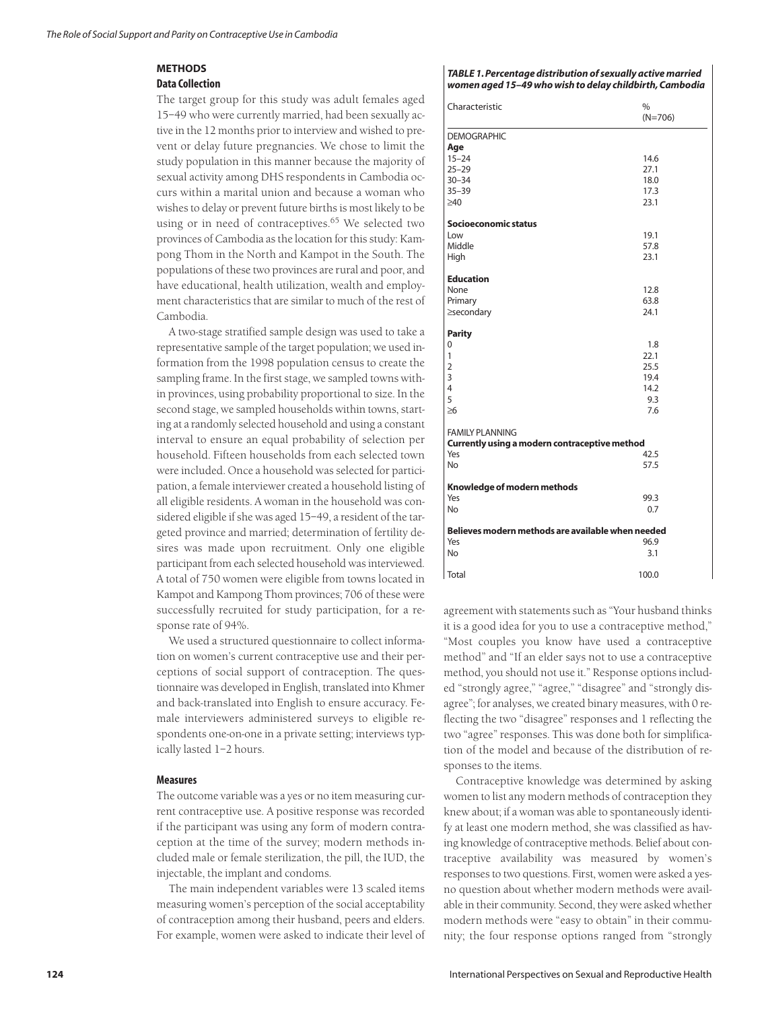# **METHODS**

#### **Data Collection**

The target group for this study was adult females aged 15–49 who were currently married, had been sexually active in the 12 months prior to interview and wished to prevent or delay future pregnancies. We chose to limit the study population in this manner because the majority of sexual activity among DHS respondents in Cambodia occurs within a marital union and because a woman who wishes to delay or prevent future births is most likely to be using or in need of contraceptives.<sup>65</sup> We selected two provinces of Cambodia as the location for this study: Kampong Thom in the North and Kampot in the South. The populations of these two provinces are rural and poor, and have educational, health utilization, wealth and employment characteristics that are similar to much of the rest of Cambodia.

A two-stage stratified sample design was used to take a representative sample of the target population; we used information from the 1998 population census to create the sampling frame. In the first stage, we sampled towns within provinces, using probability proportional to size. In the second stage, we sampled households within towns, starting at a randomly selected household and using a constant interval to ensure an equal probability of selection per household. Fifteen households from each selected town were included. Once a household was selected for participation, a female interviewer created a household listing of all eligible residents. A woman in the household was considered eligible if she was aged 15–49, a resident of the targeted province and married; determination of fertility desires was made upon recruitment. Only one eligible participant from each selected household was interviewed. A total of 750 women were eligible from towns located in Kampot and Kampong Thom provinces; 706 of these were successfully recruited for study participation, for a response rate of 94%.

We used a structured questionnaire to collect information on women's current contraceptive use and their perceptions of social support of contraception. The questionnaire was developed in English, translated into Khmer and back-translated into English to ensure accuracy. Female interviewers administered surveys to eligible respondents one-on-one in a private setting; interviews typically lasted 1–2 hours.

#### **Measures**

The outcome variable was a yes or no item measuring current contraceptive use. A positive response was recorded if the participant was using any form of modern contraception at the time of the survey; modern methods included male or female sterilization, the pill, the IUD, the injectable, the implant and condoms.

The main independent variables were 13 scaled items measuring women's perception of the social acceptability of contraception among their husband, peers and elders. For example, women were asked to indicate their level of *TABLE 1. Percentage distribution of sexually active married women aged 15–49 who wish to delay childbirth, Cambodia*

| Characteristic                                    | $\%$<br>$(N=706)$ |  |  |  |
|---------------------------------------------------|-------------------|--|--|--|
| <b>DEMOGRAPHIC</b>                                |                   |  |  |  |
| Age<br>$15 - 24$                                  | 14.6              |  |  |  |
| $25 - 29$                                         | 27.1              |  |  |  |
| $30 - 34$                                         | 18.0              |  |  |  |
| $35 - 39$                                         | 17.3              |  |  |  |
| $\geq 40$                                         | 23.1              |  |  |  |
| Socioeconomic status                              |                   |  |  |  |
| Low                                               | 19.1              |  |  |  |
| Middle                                            | 57.8              |  |  |  |
| High                                              | 23.1              |  |  |  |
| <b>Education</b>                                  |                   |  |  |  |
| None                                              | 12.8              |  |  |  |
| Primary                                           | 63.8              |  |  |  |
| ≥secondary                                        | 24.1              |  |  |  |
| <b>Parity</b>                                     |                   |  |  |  |
| 0                                                 | 1.8               |  |  |  |
| 1                                                 | 22.1              |  |  |  |
| $\overline{2}$                                    | 25.5              |  |  |  |
| 3                                                 | 19.4              |  |  |  |
| 4                                                 | 14.2              |  |  |  |
| 5                                                 | 9.3               |  |  |  |
| $\geq 6$                                          | 7.6               |  |  |  |
| <b>FAMILY PLANNING</b>                            |                   |  |  |  |
| Currently using a modern contraceptive method     |                   |  |  |  |
| Yes                                               | 42.5              |  |  |  |
| <b>No</b>                                         | 57.5              |  |  |  |
| Knowledge of modern methods                       |                   |  |  |  |
| Yes                                               | 99.3              |  |  |  |
| No.                                               | 0.7               |  |  |  |
| Believes modern methods are available when needed |                   |  |  |  |
| Yes                                               | 96.9              |  |  |  |
| <b>No</b>                                         | 3.1               |  |  |  |
| Total                                             | 100.0             |  |  |  |

agreement with statements such as "Your husband thinks it is a good idea for you to use a contraceptive method," "Most couples you know have used a contraceptive method" and "If an elder says not to use a contraceptive method, you should not use it." Response options included "strongly agree," "agree," "disagree" and "strongly disagree"; for analyses, we created binary measures, with 0 reflecting the two "disagree" responses and 1 reflecting the two "agree" responses. This was done both for simplification of the model and because of the distribution of responses to the items.

Contraceptive knowledge was determined by asking women to list any modern methods of contraception they knew about; if a woman was able to spontaneously identify at least one modern method, she was classified as having knowledge of contraceptive methods. Belief about contraceptive availability was measured by women's responses to two questions. First, women were asked a yesno question about whether modern methods were available in their community. Second, they were asked whether modern methods were "easy to obtain" in their community; the four response options ranged from "strongly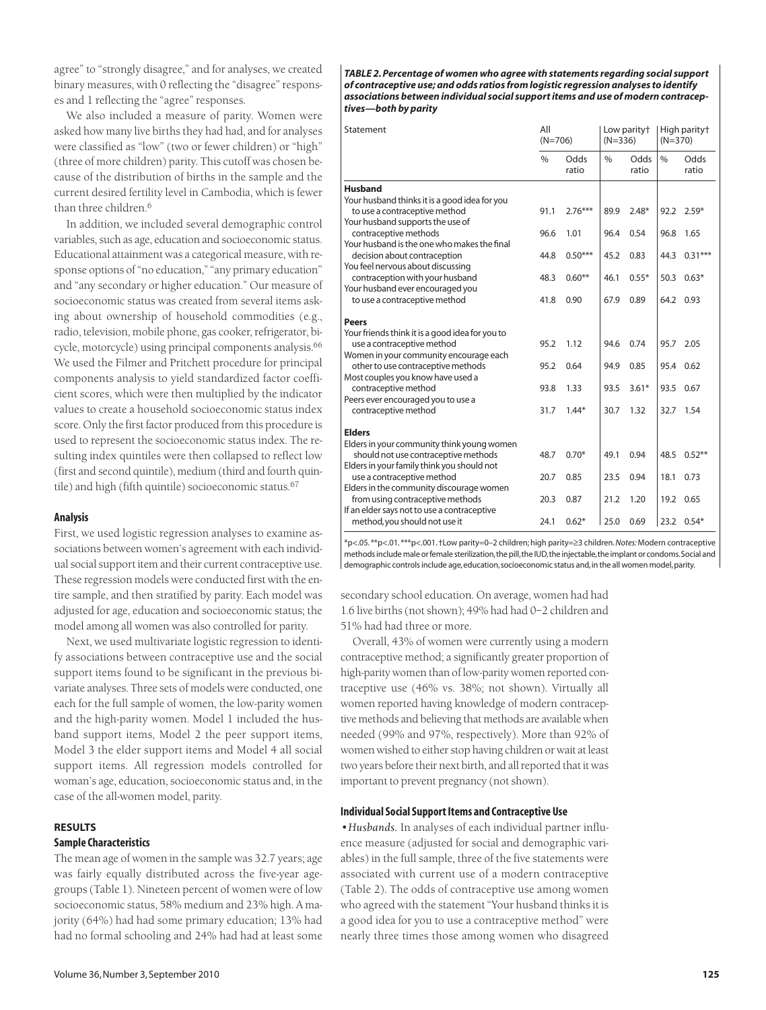agree" to "strongly disagree," and for analyses, we created binary measures, with 0 reflecting the "disagree" responses and 1 reflecting the "agree" responses.

We also included a measure of parity. Women were asked how many live births they had had, and for analyses were classified as "low" (two or fewer children) or "high" (three of more children) parity. This cutoff was chosen because of the distribution of births in the sample and the current desired fertility level in Cambodia, which is fewer than three children.<sup>6</sup>

In addition, we included several demographic control variables, such as age, education and socioeconomic status. Educational attainment was a categorical measure, with response options of "no education," "any primary education" and "any secondary or higher education." Our measure of socioeconomic status was created from several items asking about ownership of household commodities (e.g., radio, television, mobile phone, gas cooker, refrigerator, bicycle, motorcycle) using principal components analysis.<sup>66</sup> We used the Filmer and Pritchett procedure for principal components analysis to yield standardized factor coefficient scores, which were then multiplied by the indicator values to create a household socioeconomic status index score. Only the first factor produced from this procedure is used to represent the socioeconomic status index. The resulting index quintiles were then collapsed to reflect low (first and second quintile), medium (third and fourth quintile) and high (fifth quintile) socioeconomic status.<sup>67</sup>

#### **Analysis**

First, we used logistic regression analyses to examine associations between women's agreement with each individual social support item and their current contraceptive use. These regression models were conducted first with the entire sample, and then stratified by parity. Each model was adjusted for age, education and socioeconomic status; the model among all women was also controlled for parity.

Next, we used multivariate logistic regression to identify associations between contraceptive use and the social support items found to be significant in the previous bivariate analyses. Three sets of models were conducted, one each for the full sample of women, the low-parity women and the high-parity women. Model 1 included the husband support items, Model 2 the peer support items, Model 3 the elder support items and Model 4 all social support items. All regression models controlled for woman's age, education, socioeconomic status and, in the case of the all-women model, parity.

## **RESULTS**

# **Sample Characteristics**

The mean age of women in the sample was 32.7 years; age was fairly equally distributed across the five-year agegroups (Table 1). Nineteen percent of women were of low socioeconomic status, 58% medium and 23% high. A majority (64%) had had some primary education; 13% had had no formal schooling and 24% had had at least some

*TABLE 2. Percentage of women who agree with statements regarding social support of contraceptive use; and odds ratios from logistic regression analyses to identify associations between individual social support items and use of modern contraceptives—both by parity*

| Statement                                                                          | All<br>$(N=706)$ |                      | Low parity <sup>+</sup><br>$(N=336)$ |                      | High parity <sup>+</sup><br>$(N=370)$ |                      |
|------------------------------------------------------------------------------------|------------------|----------------------|--------------------------------------|----------------------|---------------------------------------|----------------------|
|                                                                                    | $\frac{9}{6}$    | <b>Odds</b><br>ratio | $\frac{0}{0}$                        | <b>Odds</b><br>ratio | $\frac{0}{0}$                         | <b>Odds</b><br>ratio |
| <b>Husband</b>                                                                     |                  |                      |                                      |                      |                                       |                      |
| Your husband thinks it is a good idea for you                                      |                  |                      |                                      |                      |                                       |                      |
| to use a contraceptive method<br>Your husband supports the use of                  | 91.1             | $2.76***$            | 89.9                                 | $2.48*$              | 92.2                                  | $2.59*$              |
| contraceptive methods                                                              | 96.6             | 1.01                 | 96.4                                 | 0.54                 | 96.8                                  | 1.65                 |
| Your husband is the one who makes the final                                        |                  |                      |                                      |                      |                                       |                      |
| decision about contraception                                                       | 44.8             | $0.50***$            | 45.2                                 | 0.83                 | 44.3                                  | $0.31***$            |
| You feel nervous about discussing                                                  |                  |                      |                                      |                      |                                       |                      |
| contraception with your husband                                                    | 48.3             | $0.60**$             | 46.1                                 | $0.55*$              | 50.3                                  | $0.63*$              |
| Your husband ever encouraged you<br>to use a contraceptive method                  | 41.8             | 0.90                 | 67.9                                 | 0.89                 |                                       | 64.2 0.93            |
|                                                                                    |                  |                      |                                      |                      |                                       |                      |
| <b>Peers</b>                                                                       |                  |                      |                                      |                      |                                       |                      |
| Your friends think it is a good idea for you to                                    |                  |                      |                                      |                      |                                       |                      |
| use a contraceptive method                                                         | 95.2             | 1.12                 | 94.6                                 | 0.74                 | 95.7                                  | 2.05                 |
| Women in your community encourage each                                             |                  |                      |                                      |                      |                                       |                      |
| other to use contraceptive methods<br>Most couples you know have used a            | 95.2             | 0.64                 | 94.9                                 | 0.85                 | 95.4                                  | 0.62                 |
| contraceptive method                                                               | 93.8             | 1.33                 | 93.5                                 | $3.61*$              | 93.5                                  | 0.67                 |
| Peers ever encouraged you to use a                                                 |                  |                      |                                      |                      |                                       |                      |
| contraceptive method                                                               | 31.7             | $1.44*$              | 30.7                                 | 1.32                 | 32.7                                  | 1.54                 |
|                                                                                    |                  |                      |                                      |                      |                                       |                      |
| <b>Elders</b>                                                                      |                  |                      |                                      |                      |                                       |                      |
| Elders in your community think young women<br>should not use contraceptive methods | 48.7             | $0.70*$              | 49.1                                 | 0.94                 | 48.5                                  | $0.52***$            |
| Elders in your family think you should not                                         |                  |                      |                                      |                      |                                       |                      |
| use a contraceptive method                                                         | 20.7             | 0.85                 | 23.5                                 | 0.94                 | 18.1                                  | 0.73                 |
| Elders in the community discourage women                                           |                  |                      |                                      |                      |                                       |                      |
| from using contraceptive methods                                                   | 20.3             | 0.87                 | 21.2                                 | 1.20                 | 19.2                                  | 0.65                 |
| If an elder says not to use a contraceptive                                        |                  |                      |                                      |                      |                                       |                      |
| method, you should not use it                                                      | 24.1             | $0.62*$              | 25.0                                 | 0.69                 | 23.2                                  | $0.54*$              |

\*p<.05. \*\*p<.01. \*\*\*p<.001. †Low parity=0–2 children; high parity=≥3 children.*Notes:*Modern contraceptive methods include male or female sterilization, the pill, the IUD, the injectable, the implant or condoms. Social and demographic controls include age, education, socioeconomic status and, in the all women model, parity.

secondary school education. On average, women had had 1.6 live births (not shown); 49% had had 0–2 children and 51% had had three or more.

Overall, 43% of women were currently using a modern contraceptive method; a significantly greater proportion of high-parity women than of low-parity women reported contraceptive use (46% vs. 38%; not shown). Virtually all women reported having knowledge of modern contraceptive methods and believing that methods are available when needed (99% and 97%, respectively). More than 92% of women wished to either stop having children or wait at least two years before their next birth, and all reported that it was important to prevent pregnancy (not shown).

#### **Individual Social Support Items and Contraceptive Use**

*•Husbands.* In analyses of each individual partner influence measure (adjusted for social and demographic variables) in the full sample, three of the five statements were associated with current use of a modern contraceptive (Table 2). The odds of contraceptive use among women who agreed with the statement "Your husband thinks it is a good idea for you to use a contraceptive method" were nearly three times those among women who disagreed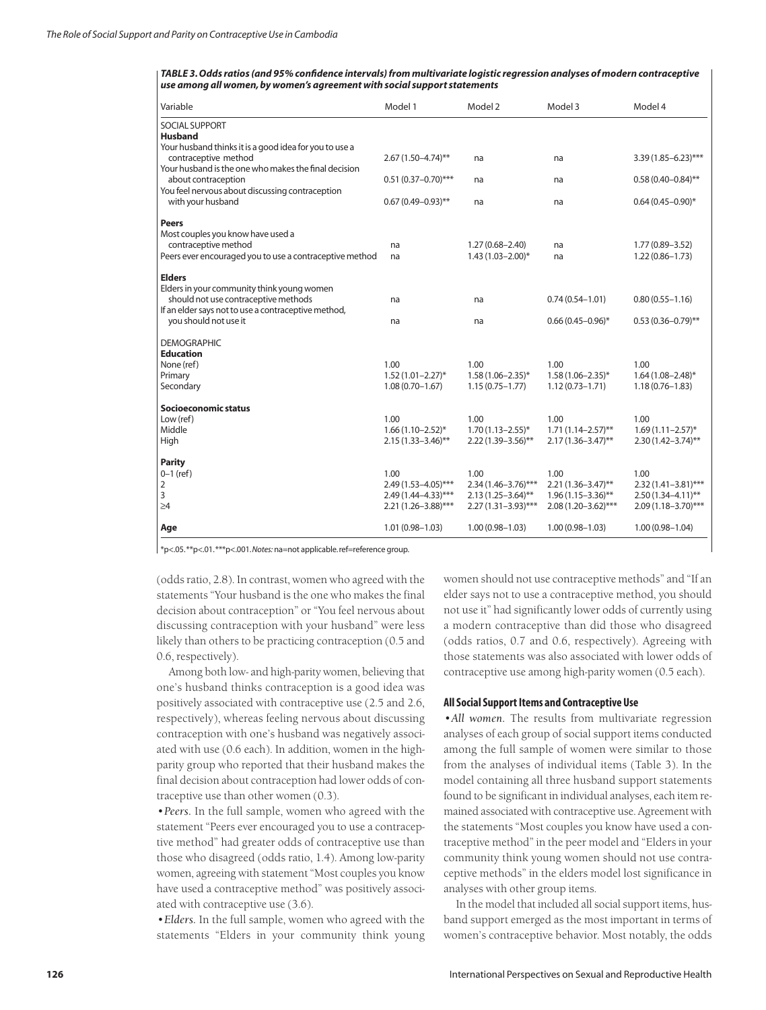*TABLE 3. Odds ratios (and 95% confidence intervals) from multivariate logistic regression analyses of modern contraceptive use among all women, by women's agreement with social support statements*

| Variable                                                                                                                                                                                                                              | Model 1                                                                       | Model 2                                                                      | Model 3                                                                     | Model 4                                                                      |
|---------------------------------------------------------------------------------------------------------------------------------------------------------------------------------------------------------------------------------------|-------------------------------------------------------------------------------|------------------------------------------------------------------------------|-----------------------------------------------------------------------------|------------------------------------------------------------------------------|
| <b>SOCIAL SUPPORT</b><br><b>Husband</b>                                                                                                                                                                                               |                                                                               |                                                                              |                                                                             |                                                                              |
| Your husband thinks it is a good idea for you to use a<br>contraceptive method<br>Your husband is the one who makes the final decision<br>about contraception<br>You feel nervous about discussing contraception<br>with your husband | 2.67 (1.50-4.74)**                                                            | na                                                                           | na                                                                          | $3.39(1.85 - 6.23)$ ***                                                      |
|                                                                                                                                                                                                                                       | $0.51(0.37 - 0.70)$ ***                                                       | na                                                                           | na                                                                          | $0.58(0.40 - 0.84)$ **                                                       |
|                                                                                                                                                                                                                                       | $0.67(0.49 - 0.93)$ **                                                        | na                                                                           | na                                                                          | $0.64(0.45 - 0.90)$ *                                                        |
| <b>Peers</b><br>Most couples you know have used a<br>contraceptive method<br>Peers ever encouraged you to use a contraceptive method                                                                                                  | na<br>na                                                                      | $1.27(0.68 - 2.40)$<br>$1.43(1.03 - 2.00)^*$                                 | na<br>na                                                                    | 1.77 (0.89-3.52)<br>$1.22(0.86 - 1.73)$                                      |
| <b>Elders</b>                                                                                                                                                                                                                         |                                                                               |                                                                              |                                                                             |                                                                              |
| Elders in your community think young women<br>should not use contraceptive methods<br>If an elder says not to use a contraceptive method,                                                                                             | na                                                                            | na                                                                           | $0.74(0.54 - 1.01)$                                                         | $0.80(0.55 - 1.16)$                                                          |
| you should not use it                                                                                                                                                                                                                 | na                                                                            | na                                                                           | $0.66(0.45 - 0.96)^*$                                                       | $0.53(0.36 - 0.79)$ **                                                       |
| <b>DEMOGRAPHIC</b><br><b>Education</b>                                                                                                                                                                                                |                                                                               |                                                                              |                                                                             |                                                                              |
| None (ref)                                                                                                                                                                                                                            | 1.00                                                                          | 1.00                                                                         | 1.00                                                                        | 1.00                                                                         |
| Primary<br>Secondary                                                                                                                                                                                                                  | $1.52(1.01 - 2.27)^{*}$<br>$1.08(0.70 - 1.67)$                                | $1.58(1.06 - 2.35)^*$<br>$1.15(0.75 - 1.77)$                                 | $1.58(1.06 - 2.35)^*$<br>$1.12(0.73 - 1.71)$                                | $1.64(1.08 - 2.48)^*$<br>$1.18(0.76 - 1.83)$                                 |
| Socioeconomic status                                                                                                                                                                                                                  |                                                                               |                                                                              |                                                                             |                                                                              |
| Low (ref)                                                                                                                                                                                                                             | 1.00                                                                          | 1.00                                                                         | 1.00                                                                        | 1.00                                                                         |
| Middle<br>High                                                                                                                                                                                                                        | $1.66(1.10-2.52)^{*}$<br>$2.15(1.33 - 3.46)$ **                               | $1.70(1.13 - 2.55)^*$<br>$2.22(1.39 - 3.56)$ **                              | $1.71(1.14 - 2.57)$ **<br>$2.17(1.36 - 3.47)$ **                            | $1.69(1.11 - 2.57)^{*}$<br>$2.30(1.42 - 3.74)$ **                            |
| <b>Parity</b>                                                                                                                                                                                                                         |                                                                               |                                                                              |                                                                             |                                                                              |
| $0 - 1$ (ref)                                                                                                                                                                                                                         | 1.00                                                                          | 1.00                                                                         | 1.00                                                                        | 1.00                                                                         |
| $\overline{2}$<br>3<br>$\geq 4$                                                                                                                                                                                                       | $2.49(1.53 - 4.05)$ ***<br>$2.49(1.44 - 4.33)$ ***<br>$2.21(1.26 - 3.88)$ *** | $2.34(1.46 - 3.76)$ ***<br>$2.13(1.25 - 3.64)$ **<br>$2.27(1.31 - 3.93)$ *** | $2.21(1.36 - 3.47)$ **<br>$1.96(1.15 - 3.36)$ **<br>$2.08(1.20 - 3.62)$ *** | $2.32(1.41 - 3.81)$ ***<br>$2.50(1.34 - 4.11)$ **<br>$2.09(1.18 - 3.70)$ *** |
| Age                                                                                                                                                                                                                                   | $1.01(0.98 - 1.03)$                                                           | $1.00(0.98 - 1.03)$                                                          | $1.00(0.98 - 1.03)$                                                         | $1.00(0.98 - 1.04)$                                                          |

\*p<.05.\*\*p<.01.\*\*\*p<.001.*Notes:* na=not applicable.ref=reference group.

(odds ratio, 2.8). In contrast, women who agreed with the statements "Your husband is the one who makes the final decision about contraception" or "You feel nervous about discussing contraception with your husband" were less likely than others to be practicing contraception (0.5 and 0.6, respectively).

Among both low- and high-parity women, believing that one's husband thinks contraception is a good idea was positively associated with contraceptive use (2.5 and 2.6, respectively), whereas feeling nervous about discussing contraception with one's husband was negatively associated with use (0.6 each). In addition, women in the highparity group who reported that their husband makes the final decision about contraception had lower odds of contraceptive use than other women (0.3).

*•Peers.* In the full sample, women who agreed with the statement "Peers ever encouraged you to use a contraceptive method" had greater odds of contraceptive use than those who disagreed (odds ratio, 1.4). Among low-parity women, agreeing with statement "Most couples you know have used a contraceptive method" was positively associated with contraceptive use (3.6).

*•Elders.* In the full sample, women who agreed with the statements "Elders in your community think young

women should not use contraceptive methods" and "If an elder says not to use a contraceptive method, you should not use it" had significantly lower odds of currently using a modern contraceptive than did those who disagreed (odds ratios, 0.7 and 0.6, respectively). Agreeing with those statements was also associated with lower odds of contraceptive use among high-parity women (0.5 each).

#### **All Social Support Items and Contraceptive Use**

*•All women.* The results from multivariate regression analyses of each group of social support items conducted among the full sample of women were similar to those from the analyses of individual items (Table 3). In the model containing all three husband support statements found to be significant in individual analyses, each item remained associated with contraceptive use. Agreement with the statements "Most couples you know have used a contraceptive method" in the peer model and "Elders in your community think young women should not use contraceptive methods" in the elders model lost significance in analyses with other group items.

In the model that included all social support items, husband support emerged as the most important in terms of women's contraceptive behavior. Most notably, the odds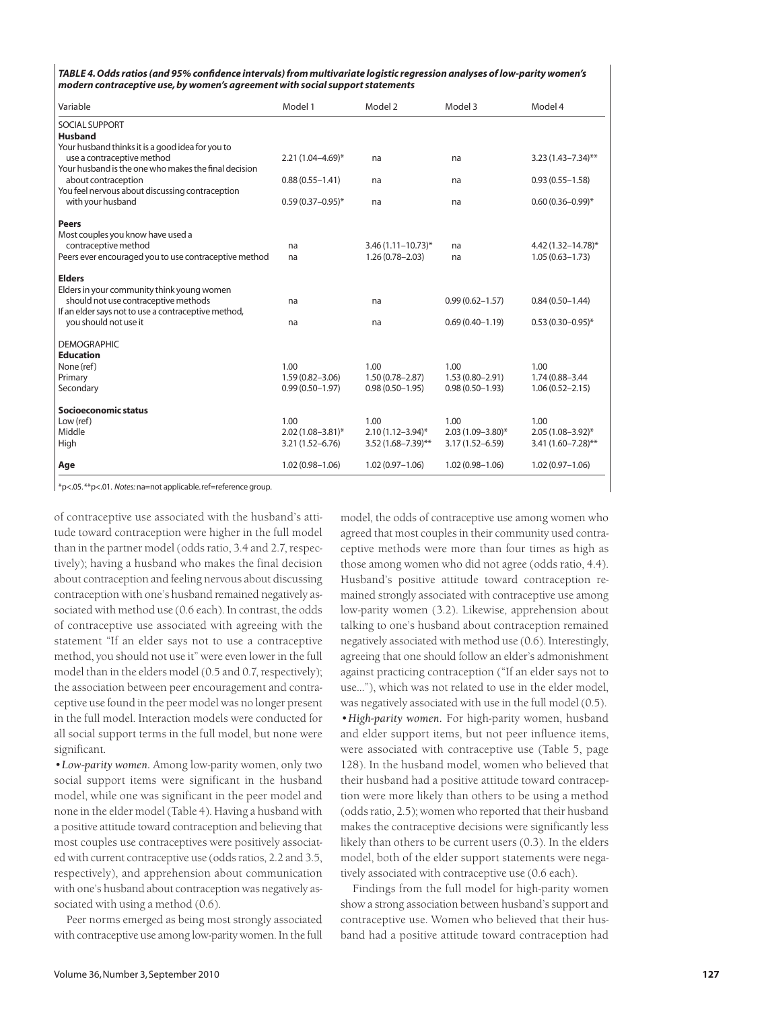| TABLE 4. Odds ratios (and 95% confidence intervals) from multivariate logistic regression analyses of low-parity women's |
|--------------------------------------------------------------------------------------------------------------------------|
| modern contraceptive use, by women's agreement with social support statements                                            |

| Variable                                              | Model 1               | Model 2                  | Model 3               | Model 4                 |
|-------------------------------------------------------|-----------------------|--------------------------|-----------------------|-------------------------|
| SOCIAL SUPPORT<br><b>Husband</b>                      |                       |                          |                       |                         |
| Your husband thinks it is a good idea for you to      |                       |                          |                       |                         |
| use a contraceptive method                            | $2.21(1.04 - 4.69)^*$ | na                       | na                    | $3.23(1.43 - 7.34)$ **  |
| Your husband is the one who makes the final decision  |                       |                          |                       |                         |
| about contraception                                   | $0.88(0.55 - 1.41)$   | na                       | na                    | $0.93(0.55 - 1.58)$     |
| You feel nervous about discussing contraception       |                       |                          |                       |                         |
| with your husband                                     | $0.59(0.37 - 0.95)^*$ | na                       | na                    | $0.60(0.36 - 0.99)$ *   |
| <b>Peers</b>                                          |                       |                          |                       |                         |
| Most couples you know have used a                     |                       |                          |                       |                         |
| contraceptive method                                  | na                    | $3.46(1.11 - 10.73)^{*}$ | na                    | 4.42 (1.32-14.78)*      |
| Peers ever encouraged you to use contraceptive method | na                    | $1.26(0.78 - 2.03)$      | na                    | $1.05(0.63 - 1.73)$     |
| <b>Elders</b>                                         |                       |                          |                       |                         |
| Elders in your community think young women            |                       |                          |                       |                         |
| should not use contraceptive methods                  | na                    | na                       | $0.99(0.62 - 1.57)$   | $0.84(0.50 - 1.44)$     |
| If an elder says not to use a contraceptive method,   |                       |                          |                       |                         |
| you should not use it                                 | na                    | na                       | $0.69(0.40 - 1.19)$   | $0.53(0.30 - 0.95)^*$   |
| <b>DEMOGRAPHIC</b>                                    |                       |                          |                       |                         |
| <b>Education</b>                                      |                       |                          |                       |                         |
| None (ref)                                            | 1.00                  | 1.00                     | 1.00                  | 1.00                    |
| Primary                                               | $1.59(0.82 - 3.06)$   | $1.50(0.78 - 2.87)$      | $1.53(0.80 - 2.91)$   | 1.74 (0.88-3.44         |
| Secondary                                             | $0.99(0.50 - 1.97)$   | $0.98(0.50 - 1.95)$      | $0.98(0.50 - 1.93)$   | $1.06(0.52 - 2.15)$     |
| Socioeconomic status                                  |                       |                          |                       |                         |
| Low (ref)                                             | 1.00                  | 1.00                     | 1.00                  | 1.00                    |
| Middle                                                | $2.02(1.08 - 3.81)^*$ | $2.10(1.12 - 3.94)^{*}$  | $2.03(1.09 - 3.80)^*$ | $2.05(1.08 - 3.92)^{*}$ |
| High                                                  | $3.21(1.52 - 6.76)$   | $3.52(1.68 - 7.39)$ **   | $3.17(1.52 - 6.59)$   | 3.41 (1.60-7.28)**      |
| Age                                                   | $1.02(0.98 - 1.06)$   | $1.02(0.97 - 1.06)$      | $1.02(0.98 - 1.06)$   | $1.02(0.97 - 1.06)$     |

\*p<.05.\*\*p<.01. *Notes:* na=not applicable.ref=reference group.

of contraceptive use associated with the husband's attitude toward contraception were higher in the full model than in the partner model (odds ratio, 3.4 and 2.7, respectively); having a husband who makes the final decision about contraception and feeling nervous about discussing contraception with one's husband remained negatively associated with method use (0.6 each). In contrast, the odds of contraceptive use associated with agreeing with the statement "If an elder says not to use a contraceptive method, you should not use it" were even lower in the full model than in the elders model (0.5 and 0.7, respectively); the association between peer encouragement and contraceptive use found in the peer model was no longer present in the full model. Interaction models were conducted for all social support terms in the full model, but none were significant.

*•Low-parity women.* Among low-parity women, only two social support items were significant in the husband model, while one was significant in the peer model and none in the elder model (Table 4). Having a husband with a positive attitude toward contraception and believing that most couples use contraceptives were positively associated with current contraceptive use (odds ratios, 2.2 and 3.5, respectively), and apprehension about communication with one's husband about contraception was negatively associated with using a method (0.6).

Peer norms emerged as being most strongly associated with contraceptive use among low-parity women. In the full

model, the odds of contraceptive use among women who agreed that most couples in their community used contraceptive methods were more than four times as high as those among women who did not agree (odds ratio, 4.4). Husband's positive attitude toward contraception remained strongly associated with contraceptive use among low-parity women (3.2). Likewise, apprehension about talking to one's husband about contraception remained negatively associated with method use (0.6). Interestingly, agreeing that one should follow an elder's admonishment against practicing contraception ("If an elder says not to use…"), which was not related to use in the elder model, was negatively associated with use in the full model (0.5).

*•High-parity women.* For high-parity women, husband and elder support items, but not peer influence items, were associated with contraceptive use (Table 5, page 128). In the husband model, women who believed that their husband had a positive attitude toward contraception were more likely than others to be using a method (odds ratio, 2.5); women who reported that their husband makes the contraceptive decisions were significantly less likely than others to be current users (0.3). In the elders model, both of the elder support statements were negatively associated with contraceptive use (0.6 each).

Findings from the full model for high-parity women show a strong association between husband's support and contraceptive use. Women who believed that their husband had a positive attitude toward contraception had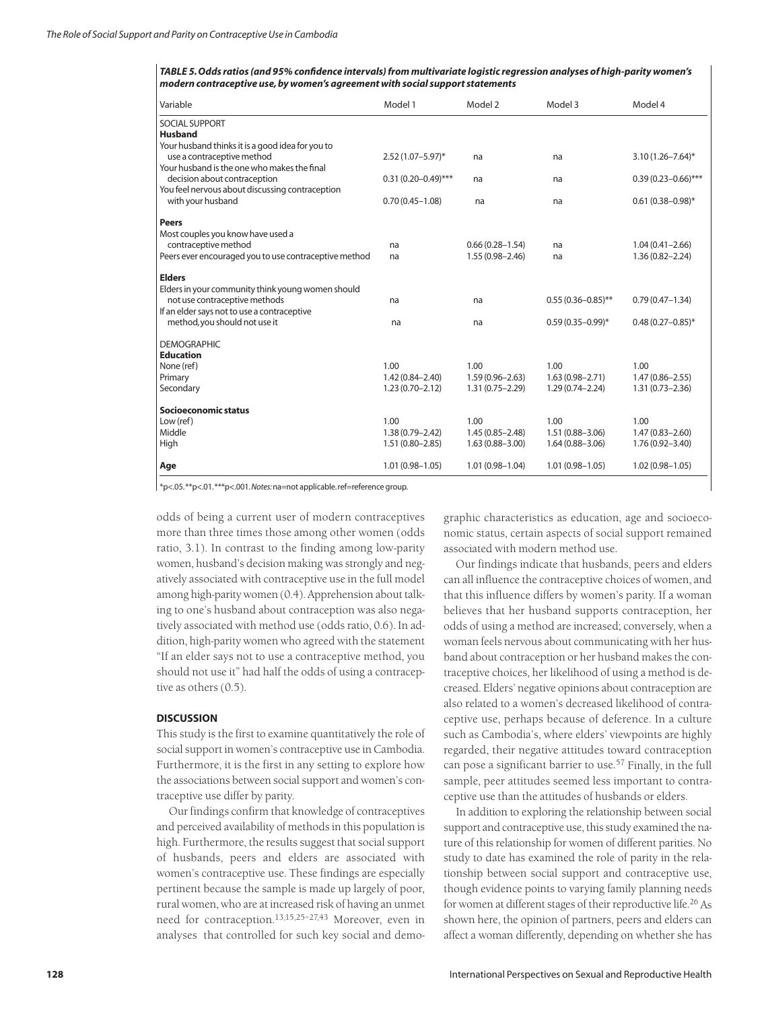*TABLE 5. Odds ratios (and 95% confidence intervals) from multivariate logistic regression analyses of high-parity women's modern contraceptive use, by women's agreement with social support statements*

| Variable                                                                        | Model 1                 | Model 2             | Model 3                | Model 4                 |
|---------------------------------------------------------------------------------|-------------------------|---------------------|------------------------|-------------------------|
| <b>SOCIAL SUPPORT</b>                                                           |                         |                     |                        |                         |
| <b>Husband</b>                                                                  |                         |                     |                        |                         |
| Your husband thinks it is a good idea for you to                                |                         |                     |                        |                         |
| use a contraceptive method                                                      | $2.52(1.07 - 5.97)^*$   | na                  | na                     | $3.10(1.26 - 7.64)^*$   |
| Your husband is the one who makes the final                                     |                         |                     |                        |                         |
| decision about contraception<br>You feel nervous about discussing contraception | $0.31(0.20 - 0.49)$ *** | na                  | na                     | $0.39(0.23 - 0.66)$ *** |
| with your husband                                                               | $0.70(0.45 - 1.08)$     | na                  | na                     | $0.61(0.38 - 0.98)^*$   |
|                                                                                 |                         |                     |                        |                         |
| Peers                                                                           |                         |                     |                        |                         |
| Most couples you know have used a                                               |                         |                     |                        |                         |
| contraceptive method                                                            | na                      | $0.66(0.28 - 1.54)$ | na                     | $1.04(0.41 - 2.66)$     |
| Peers ever encouraged you to use contraceptive method                           | na                      | $1.55(0.98 - 2.46)$ | na                     | $1.36(0.82 - 2.24)$     |
| <b>Elders</b>                                                                   |                         |                     |                        |                         |
| Elders in your community think young women should                               |                         |                     |                        |                         |
| not use contraceptive methods                                                   | na                      | na                  | $0.55(0.36 - 0.85)$ ** | $0.79(0.47 - 1.34)$     |
| If an elder says not to use a contraceptive                                     |                         |                     |                        |                         |
| method, you should not use it                                                   | na                      | na                  | $0.59(0.35 - 0.99)^*$  | $0.48(0.27 - 0.85)^*$   |
|                                                                                 |                         |                     |                        |                         |
| <b>DEMOGRAPHIC</b>                                                              |                         |                     |                        |                         |
| <b>Education</b><br>None (ref)                                                  | 1.00                    | 1.00                | 1.00                   | 1.00                    |
| Primary                                                                         | $1.42(0.84 - 2.40)$     | $1.59(0.96 - 2.63)$ | $1.63(0.98 - 2.71)$    | $1.47(0.86 - 2.55)$     |
| Secondary                                                                       | $1.23(0.70 - 2.12)$     | $1.31(0.75 - 2.29)$ | $1.29(0.74 - 2.24)$    | $1.31(0.73 - 2.36)$     |
|                                                                                 |                         |                     |                        |                         |
| Socioeconomic status                                                            |                         |                     |                        |                         |
| Low (ref)                                                                       | 1.00                    | 1.00                | 1.00                   | 1.00                    |
| Middle                                                                          | $1.38(0.79 - 2.42)$     | $1.45(0.85 - 2.48)$ | $1.51(0.88 - 3.06)$    | $1.47(0.83 - 2.60)$     |
| High                                                                            | $1.51(0.80 - 2.85)$     | $1.63(0.88 - 3.00)$ | $1.64(0.88 - 3.06)$    | $1.76(0.92 - 3.40)$     |
| Age                                                                             | $1.01(0.98 - 1.05)$     | $1.01(0.98 - 1.04)$ | $1.01(0.98 - 1.05)$    | $1.02(0.98 - 1.05)$     |

\*p<.05.\*\*p<.01.\*\*\*p<.001.*Notes:*na=not applicable.ref=reference group.

odds of being a current user of modern contraceptives more than three times those among other women (odds ratio, 3.1). In contrast to the finding among low-parity women, husband's decision making was strongly and negatively associated with contraceptive use in the full model among high-parity women (0.4). Apprehension about talking to one's husband about contraception was also negatively associated with method use (odds ratio, 0.6). In addition, high-parity women who agreed with the statement "If an elder says not to use a contraceptive method, you should not use it" had half the odds of using a contraceptive as others (0.5).

# **DISCUSSION**

This study is the first to examine quantitatively the role of social support in women's contraceptive use in Cambodia. Furthermore, it is the first in any setting to explore how the associations between social support and women's contraceptive use differ by parity.

Our findings confirm that knowledge of contraceptives and perceived availability of methods in this population is high. Furthermore, the results suggest that social support of husbands, peers and elders are associated with women's contraceptive use. These findings are especially pertinent because the sample is made up largely of poor, rural women, who are at increased risk of having an unmet need for contraception.13,15,25–27,43 Moreover, even in analyses that controlled for such key social and demographic characteristics as education, age and socioeconomic status, certain aspects of social support remained associated with modern method use.

Our findings indicate that husbands, peers and elders can all influence the contraceptive choices of women, and that this influence differs by women's parity. If a woman believes that her husband supports contraception, her odds of using a method are increased; conversely, when a woman feels nervous about communicating with her husband about contraception or her husband makes the contraceptive choices, her likelihood of using a method is decreased. Elders' negative opinions about contraception are also related to a women's decreased likelihood of contraceptive use, perhaps because of deference. In a culture such as Cambodia's, where elders' viewpoints are highly regarded, their negative attitudes toward contraception can pose a significant barrier to use.<sup>57</sup> Finally, in the full sample, peer attitudes seemed less important to contraceptive use than the attitudes of husbands or elders.

In addition to exploring the relationship between social support and contraceptive use, this study examined the nature of this relationship for women of different parities. No study to date has examined the role of parity in the relationship between social support and contraceptive use, though evidence points to varying family planning needs for women at different stages of their reproductive life.<sup>26</sup> As shown here, the opinion of partners, peers and elders can affect a woman differently, depending on whether she has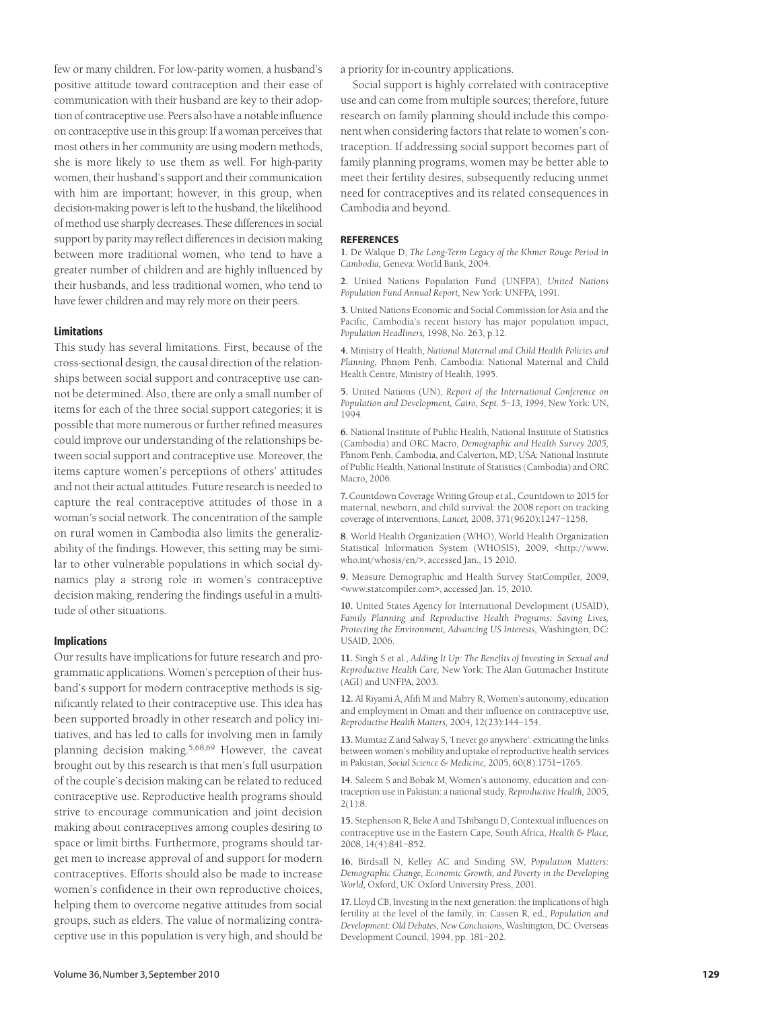few or many children. For low-parity women, a husband's positive attitude toward contraception and their ease of communication with their husband are key to their adoption of contraceptive use. Peers also have a notable influence on contraceptive use in this group: If a woman perceives that most others in her community are using modern methods, she is more likely to use them as well. For high-parity women, their husband's support and their communication with him are important; however, in this group, when decision-making power is left to the husband, the likelihood of method use sharply decreases. These differences in social support by parity may reflect differences in decision making between more traditional women, who tend to have a greater number of children and are highly influenced by their husbands, and less traditional women, who tend to have fewer children and may rely more on their peers.

#### **Limitations**

This study has several limitations. First, because of the cross-sectional design, the causal direction of the relationships between social support and contraceptive use cannot be determined. Also, there are only a small number of items for each of the three social support categories; it is possible that more numerous or further refined measures could improve our understanding of the relationships between social support and contraceptive use. Moreover, the items capture women's perceptions of others' attitudes and not their actual attitudes. Future research is needed to capture the real contraceptive attitudes of those in a woman's social network. The concentration of the sample on rural women in Cambodia also limits the generalizability of the findings. However, this setting may be similar to other vulnerable populations in which social dynamics play a strong role in women's contraceptive decision making, rendering the findings useful in a multitude of other situations.

#### **Implications**

Our results have implications for future research and programmatic applications. Women's perception of their husband's support for modern contraceptive methods is significantly related to their contraceptive use. This idea has been supported broadly in other research and policy initiatives, and has led to calls for involving men in family planning decision making.5,68,69 However, the caveat brought out by this research is that men's full usurpation of the couple's decision making can be related to reduced contraceptive use. Reproductive health programs should strive to encourage communication and joint decision making about contraceptives among couples desiring to space or limit births. Furthermore, programs should target men to increase approval of and support for modern contraceptives. Efforts should also be made to increase women's confidence in their own reproductive choices, helping them to overcome negative attitudes from social groups, such as elders. The value of normalizing contraceptive use in this population is very high, and should be a priority for in-country applications.

Social support is highly correlated with contraceptive use and can come from multiple sources; therefore, future research on family planning should include this component when considering factors that relate to women's contraception. If addressing social support becomes part of family planning programs, women may be better able to meet their fertility desires, subsequently reducing unmet need for contraceptives and its related consequences in Cambodia and beyond.

#### **REFERENCES**

**1.** De Walque D, *The Long-Term Legacy of the Khmer Rouge Period in Cambodia,* Geneva: World Bank, 2004.

**2.** United Nations Population Fund (UNFPA), *United Nations Population Fund Annual Report,* New York: UNFPA, 1991.

**3.** United Nations Economic and Social Commission for Asia and the Pacific, Cambodia's recent history has major population impact, *Population Headliners,* 1998, No. 263, p.12.

**4.** Ministry of Health, *National Maternal and Child Health Policies and Planning,* Phnom Penh, Cambodia: National Maternal and Child Health Centre, Ministry of Health, 1995.

**5.** United Nations (UN), *Report of the International Conference on Population and Development, Cairo, Sept. 5–13, 1994*, New York: UN, 1994.

**6.** National Institute of Public Health, National Institute of Statistics (Cambodia) and ORC Macro, *Demographic and Health Survey 2005,* Phnom Penh, Cambodia, and Calverton, MD, USA: National Institute of Public Health, National Institute of Statistics (Cambodia) and ORC Macro, 2006.

**7.** Countdown Coverage Writing Group et al., Countdown to 2015 for maternal, newborn, and child survival: the 2008 report on tracking coverage of interventions, *Lancet,* 2008, 371(9620):1247–1258.

**8.** World Health Organization (WHO), World Health Organization Statistical Information System (WHOSIS), 2009, <http://www. who.int/whosis/en/>, accessed Jan., 15 2010.

**9.** Measure Demographic and Health Survey StatCompiler, 2009, <www.statcompiler.com>, accessed Jan. 15, 2010.

**10.** United States Agency for International Development (USAID), *Family Planning and Reproductive Health Programs: Saving Lives, Protecting the Environment, Advancing US Interests,* Washington, DC: USAID, 2006.

**11.** Singh S et al., *Adding It Up: The Benefits of Investing in Sexual and Reproductive Health Care,* New York: The Alan Guttmacher Institute (AGI) and UNFPA, 2003.

**12.** Al Riyami A, Afifi M and Mabry R, Women's autonomy, education and employment in Oman and their influence on contraceptive use, *Reproductive Health Matters,* 2004, 12(23):144–154.

**13.** Mumtaz Z and Salway S, 'I never go anywhere': extricating the links between women's mobility and uptake of reproductive health services in Pakistan, *Social Science & Medicine,* 2005, 60(8):1751–1765.

**14.** Saleem S and Bobak M, Women's autonomy, education and contraception use in Pakistan: a national study, *Reproductive Health,* 2005, 2(1):8.

**15.** Stephenson R, Beke A and Tshibangu D, Contextual influences on contraceptive use in the Eastern Cape, South Africa, *Health & Place,* 2008, 14(4):841–852.

**16.** Birdsall N, Kelley AC and Sinding SW, *Population Matters: Demographic Change, Economic Growth, and Poverty in the Developing World,* Oxford, UK: Oxford University Press, 2001.

**17.** Lloyd CB, Investing in the next generation: the implications of high fertility at the level of the family, in: Cassen R, ed., *Population and Development: Old Debates, New Conclusions,* Washington, DC: Overseas Development Council, 1994, pp. 181–202.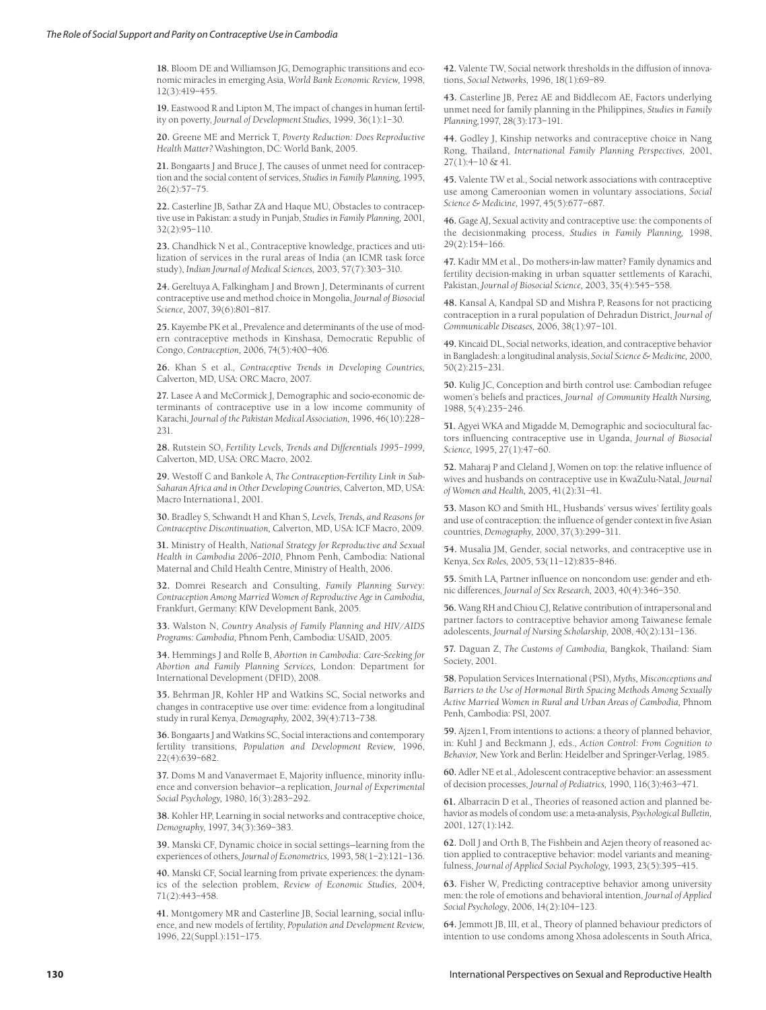**18.** Bloom DE and Williamson JG, Demographic transitions and economic miracles in emerging Asia, *World Bank Economic Review,* 1998, 12(3):419–455.

**19.** Eastwood R and Lipton M, The impact of changes in human fertility on poverty, *Journal of Development Studies,* 1999, 36(1):1–30.

**20.** Greene ME and Merrick T, *Poverty Reduction: Does Reproductive Health Matter?* Washington, DC: World Bank, 2005.

**21.** Bongaarts J and Bruce J, The causes of unmet need for contraception and the social content of services, *Studies in Family Planning,* 1995, 26(2):57–75.

**22.** Casterline JB, Sathar ZA and Haque MU, Obstacles to contraceptive use in Pakistan: a study in Punjab, *Studies in Family Planning,* 2001, 32(2):95–110.

**23.** Chandhick N et al., Contraceptive knowledge, practices and utilization of services in the rural areas of India (an ICMR task force study), *Indian Journal of Medical Sciences,* 2003, 57(7):303–310.

**24.** Gereltuya A, Falkingham J and Brown J, Determinants of current contraceptive use and method choice in Mongolia, *Journal of Biosocial Science,* 2007, 39(6):801–817.

**25.** Kayembe PK et al., Prevalence and determinants of the use of modern contraceptive methods in Kinshasa, Democratic Republic of Congo, *Contraception,* 2006, 74(5):400–406.

**26.** Khan S et al., *Contraceptive Trends in Developing Countries,* Calverton, MD, USA: ORC Macro, 2007.

**27.** Lasee A and McCormick J, Demographic and socio-economic determinants of contraceptive use in a low income community of Karachi, *Journal of the Pakistan Medical Association,* 1996, 46(10):228– 231.

**28.** Rutstein SO, *Fertility Levels, Trends and Differentials 1995–1999,* Calverton, MD, USA: ORC Macro, 2002.

**29.** Westoff C and Bankole A, *The Contraception-Fertility Link in Sub-Saharan Africa and in Other Developing Countries,* Calverton, MD, USA: Macro Internationa1, 2001.

**30.** Bradley S, Schwandt H and Khan S, *Levels, Trends, and Reasons for Contraceptive Discontinuation,* Calverton, MD, USA: ICF Macro, 2009.

**31.** Ministry of Health, *National Strategy for Reproductive and Sexual Health in Cambodia 2006–2010,* Phnom Penh, Cambodia: National Maternal and Child Health Centre, Ministry of Health, 2006.

**32.** Domrei Research and Consulting, *Family Planning Survey: Contraception Among Married Women of Reproductive Age in Cambodia,* Frankfurt, Germany: KfW Development Bank, 2005.

**33.** Walston N, *Country Analysis of Family Planning and HIV/AIDS Programs: Cambodia,* Phnom Penh, Cambodia: USAID, 2005.

**34.** Hemmings J and Rolfe B, *Abortion in Cambodia: Care-Seeking for Abortion and Family Planning Services,* London: Department for International Development (DFID), 2008.

**35.** Behrman JR, Kohler HP and Watkins SC, Social networks and changes in contraceptive use over time: evidence from a longitudinal study in rural Kenya, *Demography,* 2002, 39(4):713–738.

**36.** Bongaarts J and Watkins SC, Social interactions and contemporary fertility transitions, *Population and Development Review,* 1996, 22(4):639–682.

**37.** Doms M and Vanavermaet E, Majority influence, minority influence and conversion behavior—a replication, *Journal of Experimental Social Psychology,* 1980, 16(3):283–292.

**38.** Kohler HP, Learning in social networks and contraceptive choice, *Demography,* 1997, 34(3):369–383.

**39.** Manski CF, Dynamic choice in social settings—learning from the experiences of others, *Journal of Econometrics,* 1993, 58(1–2):121–136.

**40.** Manski CF, Social learning from private experiences: the dynamics of the selection problem, *Review of Economic Studies,* 2004, 71(2):443–458.

**41.** Montgomery MR and Casterline JB, Social learning, social influence, and new models of fertility, *Population and Development Review,* 1996, 22(Suppl.):151–175.

**42.** Valente TW, Social network thresholds in the diffusion of innovations, *Social Networks,* 1996, 18(1):69–89.

**43.** Casterline JB, Perez AE and Biddlecom AE, Factors underlying unmet need for family planning in the Philippines, *Studies in Family Planning,*1997, 28(3):173–191.

**44.** Godley J, Kinship networks and contraceptive choice in Nang Rong, Thailand, *International Family Planning Perspectives,* 2001, 27(1):4–10 & 41.

**45.** Valente TW et al., Social network associations with contraceptive use among Cameroonian women in voluntary associations, *Social Science & Medicine,* 1997, 45(5):677–687.

**46.** Gage AJ, Sexual activity and contraceptive use: the components of the decisionmaking process, *Studies in Family Planning,* 1998, 29(2):154–166.

**47.** Kadir MM et al., Do mothers-in-law matter? Family dynamics and fertility decision-making in urban squatter settlements of Karachi, Pakistan, *Journal of Biosocial Science,* 2003, 35(4):545–558.

**48.** Kansal A, Kandpal SD and Mishra P, Reasons for not practicing contraception in a rural population of Dehradun District, *Journal of Communicable Diseases,* 2006, 38(1):97–101.

**49.** Kincaid DL, Social networks, ideation, and contraceptive behavior in Bangladesh: a longitudinal analysis, *Social Science & Medicine,* 2000, 50(2):215–231.

**50.** Kulig JC, Conception and birth control use: Cambodian refugee women's beliefs and practices, *Journal of Community Health Nursing,* 1988, 5(4):235–246.

**51.** Agyei WKA and Migadde M, Demographic and sociocultural factors influencing contraceptive use in Uganda, *Journal of Biosocial Science,* 1995, 27(1):47–60.

**52.** Maharaj P and Cleland J, Women on top: the relative influence of wives and husbands on contraceptive use in KwaZulu-Natal, *Journal of Women and Health,* 2005, 41(2):31–41.

**53.** Mason KO and Smith HL, Husbands' versus wives' fertility goals and use of contraception: the influence of gender context in five Asian countries, *Demography,* 2000, 37(3):299–311.

**54.** Musalia JM, Gender, social networks, and contraceptive use in Kenya, *Sex Roles,* 2005, 53(11–12):835–846.

**55.** Smith LA, Partner influence on noncondom use: gender and ethnic differences, *Journal of Sex Research,* 2003, 40(4):346–350.

**56.** Wang RH and Chiou CJ, Relative contribution of intrapersonal and partner factors to contraceptive behavior among Taiwanese female adolescents, *Journal of Nursing Scholarship,* 2008, 40(2):131–136.

**57.** Daguan Z, *The Customs of Cambodia,* Bangkok, Thailand: Siam Society, 2001.

**58.** Population Services International (PSI), *Myths, Misconceptions and Barriers to the Use of Hormonal Birth Spacing Methods Among Sexually Active Married Women in Rural and Urban Areas of Cambodia,* Phnom Penh, Cambodia: PSI, 2007.

**59.** Ajzen I, From intentions to actions: a theory of planned behavior, in: Kuhl J and Beckmann J, eds., *Action Control: From Cognition to Behavior,* New York and Berlin: Heidelber and Springer-Verlag, 1985.

**60.** Adler NE et al., Adolescent contraceptive behavior: an assessment of decision processes, *Journal of Pediatrics,* 1990, 116(3):463–471.

**61.** Albarracin D et al., Theories of reasoned action and planned behavior as models of condom use: a meta-analysis, *Psychological Bulletin,* 2001, 127(1):142.

**62.** Doll J and Orth B, The Fishbein and Azjen theory of reasoned action applied to contraceptive behavior: model variants and meaningfulness, *Journal of Applied Social Psychology,* 1993, 23(5):395–415.

**63.** Fisher W, Predicting contraceptive behavior among university men: the role of emotions and behavioral intention, *Journal of Applied Social Psychology*, 2006, 14(2):104–123.

**64.** Jemmott JB, III, et al., Theory of planned behaviour predictors of intention to use condoms among Xhosa adolescents in South Africa,